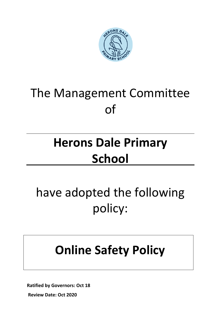

# The Management Committee of

## **Herons Dale Primary School**

# have adopted the following policy:

### **Online Safety Policy**

**Ratified by Governors: Oct 18**

**Review Date: Oct 2020**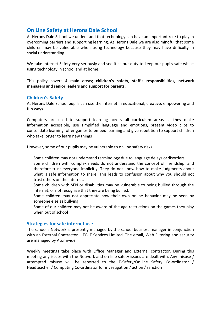### **On Line Safety at Herons Dale School**

At Herons Dale School we understand that technology can have an important role to play in overcoming barriers and supporting learning. At Herons Dale we are also mindful that some children may be vulnerable when using technology because they may have difficulty in social understanding.

We take Internet Safety very seriously and see it as our duty to keep our pupils safe whilst using technology in school and at home.

This policy covers 4 main areas; **children's safety**, **staff's responsibilities, network managers and senior leaders** and **support for parents.**

#### **Children's Safety**

At Herons Dale School pupils can use the internet in educational, creative, empowering and fun ways.

Computers are used to support learning across all curriculum areas as they make information accessible, use simplified language and emotions, present video clips to consolidate learning, offer games to embed learning and give repetition to support children who take longer to learn new things

However, some of our pupils may be vulnerable to on line safety risks.

- Some children may not understand terminology due to language delays ordisorders.
- Some children with complex needs do not understand the concept of friendship, and therefore trust everyone implicitly. They do not know how to make judgments about what is safe information to share. This leads to confusion about why you should not trust others on the internet.
- Some children with SEN or disabilities may be vulnerable to being bullied through the internet, or not recognize that they are being bullied.
- Some children may not appreciate how their own online behavior may be seen by someone else as bullying.
- Some of our children may not be aware of the age restrictions on the games they play when out of school

#### **Strategies for safe internet use**

The school's Network is presently managed by the school business manager in conjunction with an External Contractor – TC-IT Services Limited. The email, Web Filtering and security are managed by Atomwide.

Weekly meetings take place with Office Manager and External contractor. During this meeting any issues with the Network and on-line safety issues are dealt with. Any misuse / attempted misuse will be reported to the E-Safety/OnLine Safety Co-ordinator / Headteacher / Computing Co-ordinator for investigation / action / sanction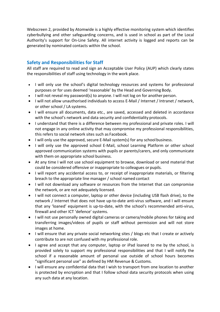Webscreen 2, provided by Atomwide is a highly effective monitoring system which identifies cyberbullying and other safeguarding concerns, and is used in school as part of the Local Authority's support for On-Line Safety. All internet activity is logged and reports can be generated by nominated contacts within the school.

### **Safety and Responsibilities for Staff**

All staff are required to read and sign an Acceptable User Policy (AUP) which clearly states the responsibilities of staff using technology in the work place.

- I will only use the school's digital technology resources and systems for professional purposes or for uses deemed 'reasonable' by the Head and Governing Body.
- I will not reveal my password(s) to anyone. I will not log on for another person.
- I will not allow unauthorised individuals to access E-Mail / Internet / Intranet / network, or other school / LA systems.
- I will ensure all documents, data etc., are saved, accessed and deleted in accordance with the school's network and data security and confidentiality protocols.
- I understand that there is a difference between my professional and private roles. I will not engage in any online activity that may compromise my professional responsibilities, this refers to social network sites such as Facebook.
- I will only use the approved, secure E-Mail system(s) for any schoolbusiness.
- I will only use the approved school E-Mail, school Learning Platform or other school approved communication systems with pupils or parents/carers, and only communicate with them on appropriate school business.
- At any time I will not use school equipment to browse, download or send material that could be considered offensive or inappropriate to colleagues or pupils.
- I will report any accidental access to, or receipt of inappropriate materials, or filtering breach to the appropriate line manager / school named contact
- I will not download any software or resources from the Internet that can compromise the network, or are not adequately licensed.
- I will not connect a computer, laptop or other device (including USB flash drive), to the network / Internet that does not have up-to-date anti-virus software, and I will ensure that any 'loaned' equipment is up-to-date, with the school's recommended anti-virus, firewall and other ICT 'defence' systems.
- I will not use personally owned digital cameras or camera/mobile phones for taking and transferring images/videos of pupils or staff without permission and will not store images at home.
- I will ensure that any private social networking sites / blogs etc that I create or actively contribute to are not confused with my professional role.
- I agree and accept that any computer, laptop or iPad loaned to me by the school, is provided solely to support my professional responsibilities and that I will notify the school if a reasonable amount of personal use outside of school hours becomes "significant personal use" as defined by HM Revenue & Customs.
- I will ensure any confidential data that I wish to transport from one location to another is protected by encryption and that I follow school data security protocols when using any such data at any location.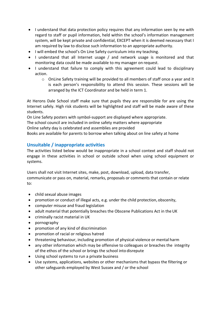- I understand that data protection policy requires that any information seen by me with regard to staff or pupil information, held within the school's information management system, will be kept private and confidential, EXCEPT when it is deemed necessary that I am required by law to disclose such information to an appropriate authority.
- I will embed the school's On Line Safety curriculum into my teaching.
- I understand that all Internet usage / and network usage is monitored and that monitoring data could be made available to my manager on request.
- I understand that failure to comply with this agreement could lead to disciplinary action.
	- $\circ$  OnLine Safety training will be provided to all members of staff once a year and it is each person's responsibility to attend this session. These sessions will be arranged by the ICT Coordinator and be held in term 1.

At Herons Dale School staff make sure that pupils they are responsible for are using the Internet safely. High risk students will be highlighted and staff will be made aware of these students.

On Line Safety posters with symbol-support are displayed where appropriate.

The school council are included in online safety matters where appropriate

Online safety day is celebrated and assemblies are provided

Books are available for parents to borrow when talking about on line safety at home

#### **Unsuitable / inappropriate activities**

The activities listed below would be inappropriate in a school context and staff should not engage in these activities in school or outside school when using school equipment or systems.

Users shall not visit Internet sites, make, post, download, upload, data transfer, communicate or pass on, material, remarks, proposals or comments that contain or relate to:

- child sexual abuse images
- promotion or conduct of illegal acts, e.g. under the child protection, obscenity,
- computer misuse and fraud legislation
- adult material that potentially breaches the Obscene Publications Act in the UK
- criminally racist material in UK
- pornography
- promotion of any kind of discrimination
- promotion of racial or religious hatred
- threatening behaviour, including promotion of physical violence or mental harm
- any other information which may be offensive to colleagues or breaches the integrity of the ethos of the school or brings the school into disrepute
- Using school systems to run a private business
- Use systems, applications, websites or other mechanisms that bypass the filtering or other safeguards employed by West Sussex and / or the school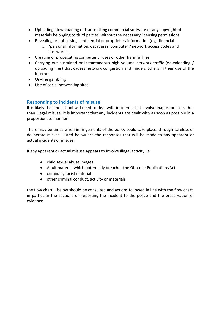- Uploading, downloading or transmitting commercial software or any copyrighted materials belonging to third parties, without the necessary licensing permissions
- Revealing or publicising confidential or proprietary information (e.g. financial
	- o /personal information, databases, computer / network access codes and passwords)
- Creating or propagating computer viruses or other harmful files
- Carrying out sustained or instantaneous high volume network traffic (downloading / uploading files) that causes network congestion and hinders others in their use of the internet
- On-line gambling
- Use of social networking sites

#### **Responding to incidents of misuse**

It is likely that the school will need to deal with incidents that involve inappropriate rather than illegal misuse. It is important that any incidents are dealt with as soon as possible in a proportionate manner.

There may be times when infringements of the policy could take place, through careless or deliberate misuse. Listed below are the responses that will be made to any apparent or actual incidents of misuse:

If any apparent or actual misuse appears to involve illegal activity i.e.

- child sexual abuse images
- Adult material which potentially breaches the Obscene Publications Act
- criminally racist material
- other criminal conduct, activity or materials

the flow chart – below should be consulted and actions followed in line with the flow chart, in particular the sections on reporting the incident to the police and the preservation of evidence.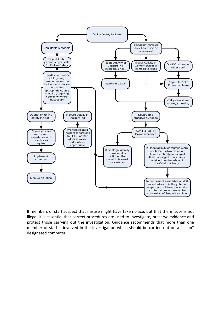

If members of staff suspect that misuse might have taken place, but that the misuse is not illegal it is essential that correct procedures are used to investigate, preserve evidence and protect those carrying out the investigation. Guidance recommends that more than one member of staff is involved in the investigation which should be carried out on a "clean" designated computer.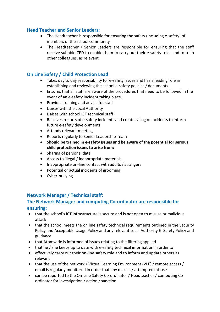#### **Head Teacher and Senior Leaders:**

- The Headteacher is responsible for ensuring the safety (including e-safety) of members of the school community
- The Headteacher / Senior Leaders are responsible for ensuring that the staff receive suitable CPD to enable them to carry out their e-safety roles and to train other colleagues, as relevant

#### **On Line Safety / Child Protection Lead**

- Takes day to day responsibility for e-safety issues and has a leading role in establishing and reviewing the school e-safety policies / documents
- Ensures that all staff are aware of the procedures that need to be followed in the event of an e-safety incident taking place.
- Provides training and advice for staff
- Liaises with the Local Authority
- Liaises with school ICT technical staff
- Receives reports of e-safety incidents and creates a log of incidents to inform future e-safety developments,
- Attends relevant meeting
- Reports regularly to Senior Leadership Team
- **Should be trained in e-safety issues and be aware of the potential for serious child protection issues to arise from:**
- Sharing of personal data
- Access to illegal / inappropriate materials
- Inappropriate on-line contact with adults / strangers
- Potential or actual incidents of grooming
- Cyber-bullying

#### **Network Manager / Technical staff:**

#### **The Network Manager and computing Co-ordinator are responsible for ensuring:**

- that the school's ICT infrastructure is secure and is not open to misuse or malicious attack
- that the school meets the on line safety technical requirements outlined in the Security Policy and Acceptable Usage Policy and any relevant Local Authority E- Safety Policy and guidance
- that Atomwide is informed of issues relating to the filtering applied
- that he / she keeps up to date with e-safety technical information in order to
- effectively carry out their on-line safety role and to inform and update others as relevant
- that the use of the network / Virtual Learning Environment (VLE) / remote access / email is regularly monitored in order that any misuse / attempted misuse
- can be reported to the On-Line Safety Co-ordinator / Headteacher / computing Coordinator for investigation / action / sanction